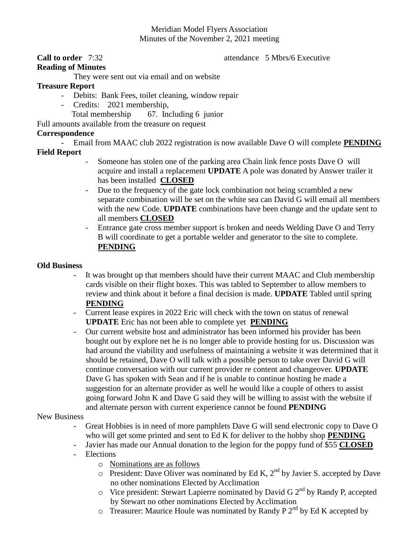# Meridian Model Flyers Association Minutes of the November 2, 2021 meeting

### **Call to order** 7:32 **attendance** 5 Mbrs/6 Executive

## **Reading of Minutes**

They were sent out via email and on website

### **Treasure Report**

- Debits: Bank Fees, toilet cleaning, window repair
- Credits: 2021 membership,
	- Total membership 67. Including 6 junior

Full amounts available from the treasure on request

## **Correspondence**

- Email from MAAC club 2022 registration is now available Dave O will complete **PENDING Field Report**

- Someone has stolen one of the parking area Chain link fence posts Dave O will acquire and install a replacement **UPDATE** A pole was donated by Answer trailer it has been installed **CLOSED**
- Due to the frequency of the gate lock combination not being scrambled a new separate combination will be set on the white sea can David G will email all members with the new Code. **UPDATE** combinations have been change and the update sent to all members **CLOSED**
- Entrance gate cross member support is broken and needs Welding Dave O and Terry B will coordinate to get a portable welder and generator to the site to complete. **PENDING**

### **Old Business**

- It was brought up that members should have their current MAAC and Club membership cards visible on their flight boxes. This was tabled to September to allow members to review and think about it before a final decision is made. **UPDATE** Tabled until spring **PENDING**
- Current lease expires in 2022 Eric will check with the town on status of renewal **UPDATE** Eric has not been able to complete yet **PENDING**
- Our current website host and administrator has been informed his provider has been bought out by explore net he is no longer able to provide hosting for us. Discussion was had around the viability and usefulness of maintaining a website it was determined that it should be retained, Dave O will talk with a possible person to take over David G will continue conversation with our current provider re content and changeover. **UPDATE** Dave G has spoken with Sean and if he is unable to continue hosting he made a suggestion for an alternate provider as well he would like a couple of others to assist going forward John K and Dave G said they will be willing to assist with the website if and alternate person with current experience cannot be found **PENDING**

#### New Business

- Great Hobbies is in need of more pamphlets Dave G will send electronic copy to Dave O who will get some printed and sent to Ed K for deliver to the hobby shop **PENDING**
- Javier has made our Annual donation to the legion for the poppy fund of \$55 **CLOSED**
- Elections
	- o Nominations are as follows
	- $\circ$  President: Dave Oliver was nominated by Ed K, 2<sup>nd</sup> by Javier S. accepted by Dave no other nominations Elected by Acclimation
	- $\circ$  Vice president: Stewart Lapierre nominated by David G 2<sup>nd</sup> by Randy P, accepted by Stewart no other nominations Elected by Acclimation
	- $\circ$  Treasurer: Maurice Houle was nominated by Randy P 2<sup>nd</sup> by Ed K accepted by